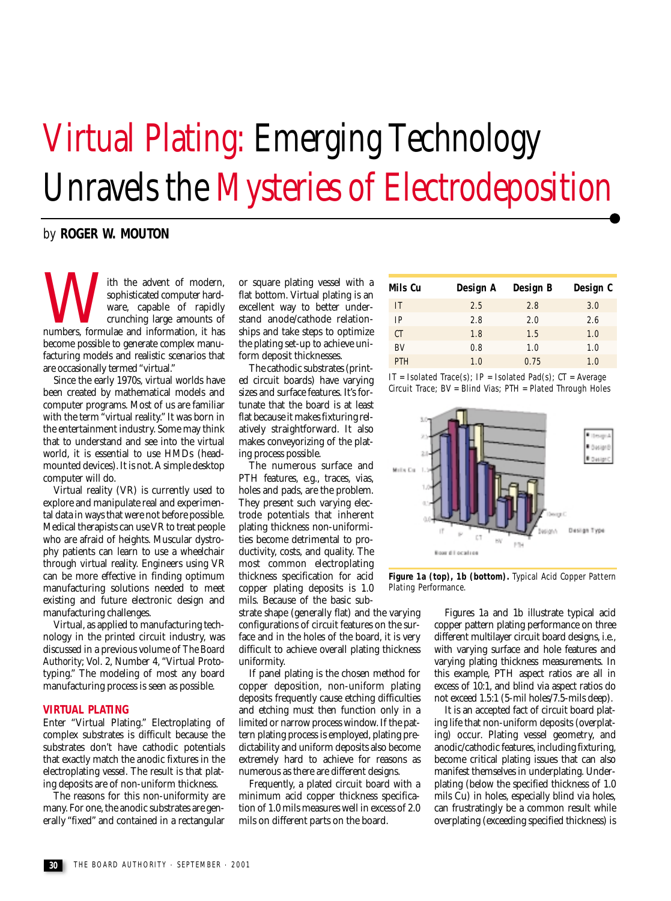# Virtual Plating: Emerging Technology Unravels the Mysteries of Electrodeposition

## by **ROGER W. MOUTON**

With the advent of modern,<br>sophisticated computer hard-<br>ware, capable of rapidly<br>crunching large amounts of<br>numbers, formulae and information, it has sophisticated computer hardware, capable of rapidly crunching large amounts of become possible to generate complex manufacturing models and realistic scenarios that are occasionally termed "virtual."

Since the early 1970s, virtual worlds have been created by mathematical models and computer programs. Most of us are familiar with the term "virtual reality." It was born in the entertainment industry. Some may think that to understand and see into the virtual world, it is essential to use HMDs (headmounted devices). It is not. A simple desktop computer will do.

Virtual reality (VR) is currently used to explore and manipulate real and experimental data in ways that were not before possible. Medical therapists can use VR to treat people who are afraid of heights. Muscular dystrophy patients can learn to use a wheelchair through virtual reality. Engineers using VR can be more effective in finding optimum manufacturing solutions needed to meet existing and future electronic design and manufacturing challenges.

Virtual, as applied to manufacturing technology in the printed circuit industry, was discussed in a previous volume of *The Board Authority*; Vol. 2, Number 4, "Virtual Prototyping." The modeling of most any board manufacturing process is seen as possible.

#### **VIRTUAL PLATING**

Enter "Virtual Plating." Electroplating of complex substrates is difficult because the substrates don't have cathodic potentials that exactly match the anodic fixtures in the electroplating vessel. The result is that plating deposits are of non-uniform thickness.

The reasons for this non-uniformity are many. For one, the anodic substrates are generally "fixed" and contained in a rectangular

or square plating vessel with a flat bottom. Virtual plating is an excellent way to better understand anode/cathode relationships and take steps to optimize the plating set-up to achieve uniform deposit thicknesses.

The cathodic substrates (printed circuit boards) have varying sizes and surface features. It's fortunate that the board is at least flat because it makes fixturing relatively straightforward. It also makes conveyorizing of the plating process possible.

The numerous surface and PTH features, e.g., traces, vias, holes and pads, are the problem. They present such varying electrode potentials that inherent plating thickness non-uniformities become detrimental to productivity, costs, and quality. The most common electroplating thickness specification for acid copper plating deposits is 1.0 mils. Because of the basic sub-

strate shape (generally flat) and the varying configurations of circuit features on the surface and in the holes of the board, it is very difficult to achieve overall plating thickness uniformity.

If panel plating is the chosen method for copper deposition, non-uniform plating deposits frequently cause etching difficulties and etching must then function only in a limited or narrow process window. If the pattern plating process is employed, plating predictability and uniform deposits also become extremely hard to achieve for reasons as numerous as there are different designs.

Frequently, a plated circuit board with a minimum acid copper thickness specification of 1.0 mils measures well in excess of 2.0 mils on different parts on the board.

| Mils Cu   | Design A | Design B | Design C |
|-----------|----------|----------|----------|
| IT        | 2.5      | 2.8      | 3.0      |
| IP        | 2.8      | 2.0      | 2.6      |
| СT        | 1.8      | 1.5      | 1.0      |
| <b>BV</b> | 0.8      | 1.0      | 1.0      |
| PTH       | 1.0      | 0.75     | 1.0      |
|           |          |          |          |

IT = Isolated Trace(s); IP = Isolated Pad(s);  $CT = Average$ Circuit Trace; BV = Blind Vias; PTH = Plated Through Holes



**Figure 1a (top), 1b (bottom).** Typical Acid Copper Pattern Plating Performance.

> Figures 1a and 1b illustrate typical acid copper pattern plating performance on three different multilayer circuit board designs, i.e., with varying surface and hole features and varying plating thickness measurements. In this example, PTH aspect ratios are all in excess of 10:1, and blind via aspect ratios do not exceed 1.5:1 (5-mil holes/7.5-mils deep).

> It is an accepted fact of circuit board plating life that non-uniform deposits (overplating) occur. Plating vessel geometry, and anodic/cathodic features, including fixturing, become critical plating issues that can also manifest themselves in underplating. Underplating (below the specified thickness of 1.0 mils Cu) in holes, especially blind via holes, can frustratingly be a common result while overplating (exceeding specified thickness) is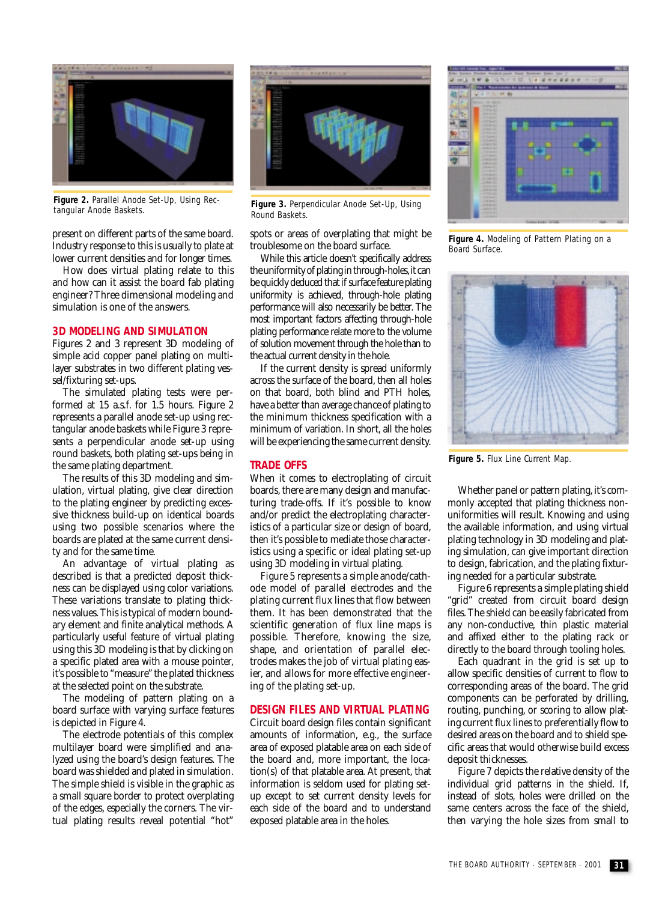

Figure 2. Parallel Anode Set-Up, Using Rec-<br>tangular Anode Baskets.

present on different parts of the same board. Industry response to this is usually to plate at lower current densities and for longer times.

How does virtual plating relate to this and how can it assist the board fab plating engineer? Three dimensional modeling and simulation is one of the answers.

### **3D MODELING AND SIMULATION**

Figures 2 and 3 represent 3D modeling of simple acid copper panel plating on multilayer substrates in two different plating vessel/fixturing set-ups.

The simulated plating tests were performed at 15 a.s.f. for 1.5 hours. Figure 2 represents a parallel anode set-up using rectangular anode baskets while Figure 3 represents a perpendicular anode set-up using round baskets, both plating set-ups being in the same plating department.

The results of this 3D modeling and simulation, virtual plating, give clear direction to the plating engineer by predicting excessive thickness build-up on identical boards using two possible scenarios where the boards are plated at the same current density and for the same time.

An advantage of virtual plating as described is that a predicted deposit thickness can be displayed using color variations. These variations translate to plating thickness values. This is typical of modern boundary element and finite analytical methods. A particularly useful feature of virtual plating using this 3D modeling is that by clicking on a specific plated area with a mouse pointer, it's possible to "measure" the plated thickness at the selected point on the substrate.

The modeling of pattern plating on a board surface with varying surface features is depicted in Figure 4.

The electrode potentials of this complex multilayer board were simplified and analyzed using the board's design features. The board was shielded and plated in simulation. The simple shield is visible in the graphic as a small square border to protect overplating of the edges, especially the corners. The virtual plating results reveal potential "hot"



Figure 3. Perpendicular Anode Set-Up, Using Round Baskets.

spots or areas of overplating that might be troublesome on the board surface.

While this article doesn't specifically address the uniformity of plating in through-holes, it can be quickly deduced that if surface feature plating uniformity is achieved, through-hole plating performance will also necessarily be better. The most important factors affecting through-hole plating performance relate more to the volume of solution movement through the hole than to the actual current density in the hole.

If the current density is spread uniformly across the surface of the board, then all holes on that board, both blind and PTH holes, have a better than average chance of plating to the minimum thickness specification with a minimum of variation. In short, all the holes will be experiencing the same current density.

#### **TRADE OFFS**

When it comes to electroplating of circuit boards, there are many design and manufacturing trade-offs. If it's possible to know and/or predict the electroplating characteristics of a particular size or design of board, then it's possible to mediate those characteristics using a specific or ideal plating set-up using 3D modeling in virtual plating.

Figure 5 represents a simple anode/cathode model of parallel electrodes and the plating current flux lines that flow between them. It has been demonstrated that the scientific generation of flux line maps is possible. Therefore, knowing the size, shape, and orientation of parallel electrodes makes the job of virtual plating easier, and allows for more effective engineering of the plating set-up.

#### **DESIGN FILES AND VIRTUAL PLATING**

Circuit board design files contain significant amounts of information, e.g., the surface area of exposed platable area on each side of the board and, more important, the location(s) of that platable area. At present, that information is seldom used for plating setup except to set current density levels for each side of the board and to understand exposed platable area in the holes.



**Figure 4.** Modeling of Pattern Plating on a Board Surface.



**Figure 5.** Flux Line Current Map.

Whether panel or pattern plating, it's commonly accepted that plating thickness nonuniformities will result. Knowing and using the available information, and using virtual plating technology in 3D modeling and plating simulation, can give important direction to design, fabrication, and the plating fixturing needed for a particular substrate.

Figure 6 represents a simple plating shield "grid" created from circuit board design files. The shield can be easily fabricated from any non-conductive, thin plastic material and affixed either to the plating rack or directly to the board through tooling holes.

Each quadrant in the grid is set up to allow specific densities of current to flow to corresponding areas of the board. The grid components can be perforated by drilling, routing, punching, or scoring to allow plating current flux lines to preferentially flow to desired areas on the board and to shield specific areas that would otherwise build excess deposit thicknesses.

Figure 7 depicts the relative density of the individual grid patterns in the shield. If, instead of slots, holes were drilled on the same centers across the face of the shield, then varying the hole sizes from small to